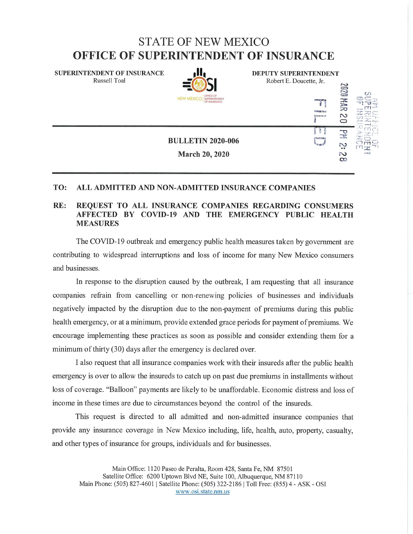## STATE OF NEW MEXICO OFFICE OF SUPERINTENDENT OF INSURANCE

DEPUTY SUPERINTENDENT Robert E. Doucette, Jr.

ا<sub>سم</sub> 11

 $\frac{1}{2}$  $\mathbf{D}$ N  $\infty$ 

SUPERINTENDENT OF INSURANCE Russell Toal



BULLETIN 2020-006 March 20, 2020

## TO: ALL ADMITTED AND NON-ADMITTED INSURANCE COMPANIES

## RE: REQUEST TO ALL INSURANCE COMPANIES REGARDING CONSUM AFFECTED BY COVID-19 AND THE EMERGENCY PUBLIC HEAL MEASURES

The COVID-19 outbreak and emergency public health measures taken by government are contributing to widespread uiternuptions and loss of income for many New Mexico consumers and businesses.

In response to the disruption caused by the outbreak, I am requesting that all insurance companies refrain from cancelling or non-renewing policies of businesses and individuals negatively impacted by the disiuption due to the non-payment of premiums during this public health emergency, or at a minimum, provide extended grace periods for payment of premiums. We encourage implementing these practices as soon as possible and consider extending them for a minimum of thirty  $(30)$  days after the emergency is declared over.

I also request that all insurance companies work with their insureds after the public health emergency is over to allow the insureds to catch up on past due premiums in installments without loss of coverage. "Balloon" payments are likely to be unaffordable. Economic distress and loss of income in these times are due to circumstances beyond the control of the insureds.

This request is directed to all admitted and non-admitted insurance companies that provide any insurance coverage in New Mexico including, life, health, auto, property, casualty, and other types of insurance for groups, individuals and for businesses.